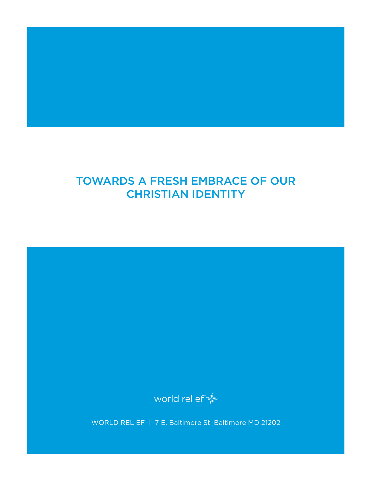# TOWARDS A FRESH EMBRACE OF OUR CHRISTIAN IDENTITY



WORLD RELIEF | 7 E. Baltimore St. Baltimore MD 21202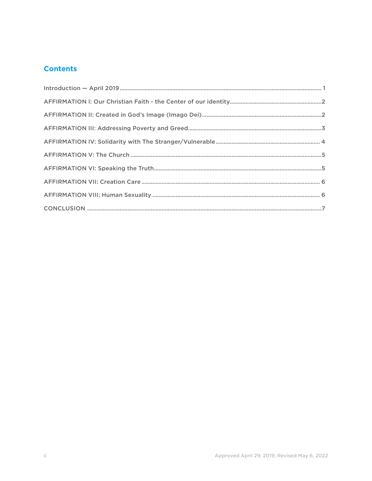## **Contents**

| $Introduction - April 2019. \dots 1$ |  |
|--------------------------------------|--|
|                                      |  |
|                                      |  |
|                                      |  |
|                                      |  |
|                                      |  |
|                                      |  |
|                                      |  |
|                                      |  |
|                                      |  |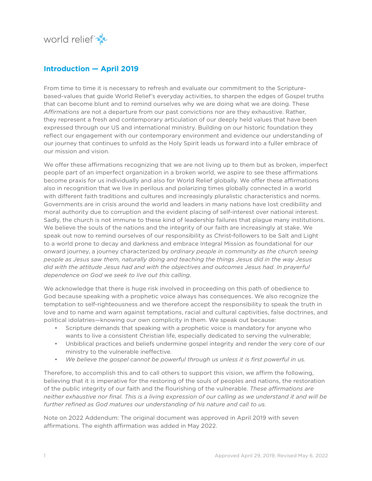

### <span id="page-2-0"></span>**Introduction — April 2019**

From time to time it is necessary to refresh and evaluate our commitment to the Scripturebased-values that guide World Relief's everyday activities, to sharpen the edges of Gospel truths that can become blunt and to remind ourselves why we are doing what we are doing. These *Affirmations* are not a departure from our past convictions nor are they exhaustive. Rather, they represent a fresh and contemporary articulation of our deeply held values that have been expressed through our US and international ministry. Building on our historic foundation they reflect our engagement with our contemporary environment and evidence our understanding of our journey that continues to unfold as the Holy Spirit leads us forward into a fuller embrace of our mission and vision.

We offer these affirmations recognizing that we are not living up to them but as broken, imperfect people part of an imperfect organization in a broken world, we aspire to see these affirmations become praxis for us individually and also for World Relief globally. We offer these affirmations also in recognition that we live in perilous and polarizing times globally connected in a world with different faith traditions and cultures and increasingly pluralistic characteristics and norms. Governments are in crisis around the world and leaders in many nations have lost credibility and moral authority due to corruption and the evident placing of self-interest over national interest. Sadly, the church is not immune to these kind of leadership failures that plague many institutions. We believe the souls of the nations and the integrity of our faith are increasingly at stake. We speak out now to remind ourselves of our responsibility as Christ-followers to be Salt and Light to a world prone to decay and darkness and embrace Integral Mission as foundational for our onward journey, a journey characterized by *ordinary people in community as the church seeing people as Jesus saw them, naturally doing and teaching the things Jesus did in the way Jesus did with the attitude Jesus had and with the objectives and outcomes Jesus had. In prayerful dependence on God we seek to live out this calling.*

We acknowledge that there is huge risk involved in proceeding on this path of obedience to God because speaking with a prophetic voice always has consequences. We also recognize the temptation to self-righteousness and we therefore accept the responsibility to speak the truth in love and to name and warn against temptations, racial and cultural captivities, false doctrines, and political idolatries—knowing our own complicity in them. We speak out because:

- Scripture demands that speaking with a prophetic voice is mandatory for anyone who wants to live a consistent Christian life, especially dedicated to serving the vulnerable;
- Unbiblical practices and beliefs undermine gospel integrity and render the very core of our ministry to the vulnerable ineffective.
- *We believe the gospel cannot be powerful through us unless it is first powerful in us.*

Therefore, to accomplish this and to call others to support this vision, we affirm the following, believing that it is imperative for the restoring of the souls of peoples and nations, the restoration of the public integrity of our faith and the flourishing of the vulnerable. *These affirmations are neither exhaustive nor final. This is a living expression of our calling as we understand it and will be further refined as God matures our understanding of his nature and call to us.*

Note on 2022 Addendum: The original document was approved in April 2019 with seven affirmations. The eighth affirmation was added in May 2022.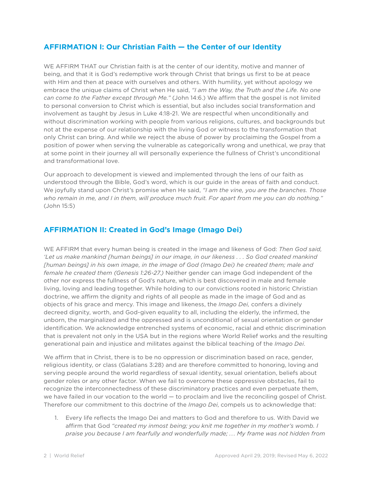### <span id="page-3-0"></span>**AFFIRMATION I: Our Christian Faith — the Center of our Identity**

WE AFFIRM THAT our Christian faith is at the center of our identity, motive and manner of being, and that it is God's redemptive work through Christ that brings us first to be at peace with Him and then at peace with ourselves and others. With humility, yet without apology we embrace the unique claims of Christ when He said, *"I am the Way, the Truth and the Life. No one can come to the Father except through Me."* (John 14:6.) We affirm that the gospel is not limited to personal conversion to Christ which is essential, but also includes social transformation and involvement as taught by Jesus in Luke 4:18-21. We are respectful when unconditionally and without discrimination working with people from various religions, cultures, and backgrounds but not at the expense of our relationship with the living God or witness to the transformation that only Christ can bring. And while we reject the abuse of power by proclaiming the Gospel from a position of power when serving the vulnerable as categorically wrong and unethical, we pray that at some point in their journey all will personally experience the fullness of Christ's unconditional and transformational love.

Our approach to development is viewed and implemented through the lens of our faith as understood through the Bible, God's word, which is our guide in the areas of faith and conduct. We joyfully stand upon Christ's promise when He said, *"I am the vine, you are the branches. Those who remain in me, and I in them, will produce much fruit. For apart from me you can do nothing."*  (John 15:5)

## **AFFIRMATION II: Created in God's Image (Imago Dei)**

WE AFFIRM that every human being is created in the image and likeness of God: *Then God said, 'Let us make mankind [human beings] in our image, in our likeness . . . So God created mankind [human beings] in his own image, in the image of God (Imago Dei) he created them; male and female he created them (Genesis 1:26-27.)* Neither gender can image God independent of the other nor express the fullness of God's nature, which is best discovered in male and female living, loving and leading together. While holding to our convictions rooted in historic Christian doctrine, we affirm the dignity and rights of all people as made in the image of God and as objects of his grace and mercy. This image and likeness, the *Imago Dei,* confers a divinely decreed dignity, worth, and God-given equality to all, including the elderly, the infirmed, the unborn, the marginalized and the oppressed and is unconditional of sexual orientation or gender identification. We acknowledge entrenched systems of economic, racial and ethnic discrimination that is prevalent not only in the USA but in the regions where World Relief works and the resulting generational pain and injustice and militates against the biblical teaching of the *Imago Dei*.

We affirm that in Christ, there is to be no oppression or discrimination based on race, gender, religious identity, or class (Galatians 3:28) and are therefore committed to honoring, loving and serving people around the world regardless of sexual identity, sexual orientation, beliefs about gender roles or any other factor. When we fail to overcome these oppressive obstacles, fail to recognize the interconnectedness of these discriminatory practices and even perpetuate them, we have failed in our vocation to the world – to proclaim and live the reconciling gospel of Christ. Therefore our commitment to this doctrine of the *Imago Dei*, compels us to acknowledge that:

1. Every life reflects the Imago Dei and matters to God and therefore to us. With David we affirm that God *"created my inmost being; you knit me together in my mother's womb. I praise you because I am fearfully and wonderfully made; . . . My frame was not hidden from*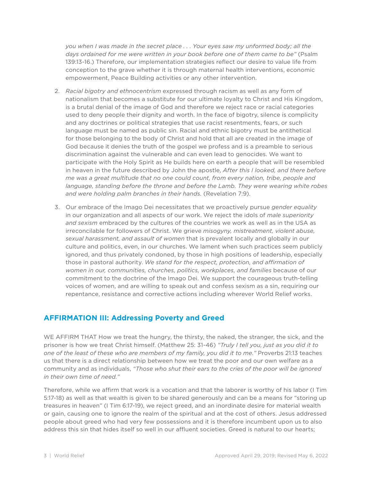*you when I was made in the secret place . . . Your eyes saw my unformed body; all the days ordained for me were written in your book before one of them came to be"* (Psalm 139:13-16.) Therefore, our implementation strategies reflect our desire to value life from conception to the grave whether it is through maternal health interventions, economic empowerment, Peace Building activities or any other intervention.

- 2. *Racial bigotry and ethnocentrism* expressed through racism as well as any form of nationalism that becomes a substitute for our ultimate loyalty to Christ and His Kingdom, is a brutal denial of the image of God and therefore we reject race or racial categories used to deny people their dignity and worth. In the face of bigotry, silence is complicity and any doctrines or political strategies that use racist resentments, fears, or such language must be named as public sin. Racial and ethnic bigotry must be antithetical for those belonging to the body of Christ and hold that all are created in the image of God because it denies the truth of the gospel we profess and is a preamble to serious discrimination against the vulnerable and can even lead to genocides. We want to participate with the Holy Spirit as He builds here on earth a people that will be resembled in heaven in the future described by John the apostle, *After this I looked, and there before me was a great multitude that no one could count, from every nation, tribe, people and language, standing before the throne and before the Lamb. They were wearing white robes and were holding palm branches in their hands.* (Revelation 7:9).
- 3. Our embrace of the Imago Dei necessitates that we proactively pursue *gender equality* in our organization and all aspects of our work. We reject the idols of *male superiority and sexism* embraced by the cultures of the countries we work as well as in the USA as irreconcilable for followers of Christ. We grieve *misogyny, mistreatment, violent abuse, sexual harassment, and assault of women* that is prevalent locally and globally in our culture and politics, even, in our churches. We lament when such practices seem publicly ignored, and thus privately condoned, by those in high positions of leadership, especially those in pastoral authority. *We stand for the respect, protection, and affirmation of women in our, communities, churches, politics, workplaces, and families* because of our commitment to the doctrine of the Imago Dei. We support the courageous truth-telling voices of women, and are willing to speak out and confess sexism as a sin, requiring our repentance, resistance and corrective actions including wherever World Relief works.

#### <span id="page-4-0"></span>**AFFIRMATION III: Addressing Poverty and Greed**

WE AFFIRM THAT How we treat the hungry, the thirsty, the naked, the stranger, the sick, and the prisoner is how we treat Christ himself. (Matthew 25: 31-46) *"Truly I tell you, just as you did it to one of the least of these who are members of my family, you did it to me."* Proverbs 21:13 teaches us that there is a direct relationship between how we treat the poor and our own welfare as a community and as individuals, *"Those who shut their ears to the cries of the poor will be ignored in their own time of need."*

Therefore, while we affirm that work is a vocation and that the laborer is worthy of his labor (I Tim 5:17-18) as well as that wealth is given to be shared generously and can be a means for "storing up treasures in heaven" (I Tim 6:17-19), we reject greed, and an inordinate desire for material wealth or gain, causing one to ignore the realm of the spiritual and at the cost of others. Jesus addressed people about greed who had very few possessions and it is therefore incumbent upon us to also address this sin that hides itself so well in our affluent societies. Greed is natural to our hearts;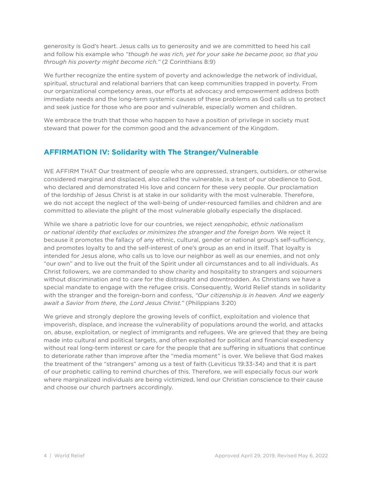generosity is God's heart. Jesus calls us to generosity and we are committed to heed his call and follow his example who *"though he was rich, yet for your sake he became poor, so that you through his poverty might become rich."* (2 Corinthians 8:9)

We further recognize the entire system of poverty and acknowledge the network of individual, spiritual, structural and relational barriers that can keep communities trapped in poverty. From our organizational competency areas, our efforts at advocacy and empowerment address both immediate needs and the long-term systemic causes of these problems as God calls us to protect and seek justice for those who are poor and vulnerable, especially women and children.

We embrace the truth that those who happen to have a position of privilege in society must steward that power for the common good and the advancement of the Kingdom.

## <span id="page-5-0"></span>**AFFIRMATION IV: Solidarity with The Stranger/Vulnerable**

WE AFFIRM THAT Our treatment of people who are oppressed, strangers, outsiders, or otherwise considered marginal and displaced, also called the vulnerable, is a test of our obedience to God, who declared and demonstrated His love and concern for these very people. Our proclamation of the lordship of Jesus Christ is at stake in our solidarity with the most vulnerable. Therefore, we do not accept the neglect of the well-being of under-resourced families and children and are committed to alleviate the plight of the most vulnerable globally especially the displaced.

While we share a patriotic love for our countries, we reject *xenophobic, ethnic nationalism or national identity that excludes or minimizes the stranger and the foreign born.* We reject it because it promotes the fallacy of any ethnic, cultural, gender or national group's self-sufficiency, and promotes loyalty to and the self-interest of one's group as an end in itself. That loyalty is intended for Jesus alone, who calls us to love our neighbor as well as our enemies, and not only "our own" and to live out the fruit of the Spirit under all circumstances and to all individuals. As Christ followers, we are commanded to show charity and hospitality to strangers and sojourners without discrimination and to care for the distraught and downtrodden. As Christians we have a special mandate to engage with the refugee crisis. Consequently, World Relief stands in solidarity with the stranger and the foreign-born and confess, *"Our citizenship is in heaven. And we eagerly await a Savior from there, the Lord Jesus Christ."* (Philippians 3:20)

We grieve and strongly deplore the growing levels of conflict, exploitation and violence that impoverish, displace, and increase the vulnerability of populations around the world, and attacks on, abuse, exploitation, or neglect of immigrants and refugees. We are grieved that they are being made into cultural and political targets, and often exploited for political and financial expediency without real long-term interest or care for the people that are suffering in situations that continue to deteriorate rather than improve after the "media moment" is over. We believe that God makes the treatment of the "strangers" among us a test of faith (Leviticus 19:33-34) and that it is part of our prophetic calling to remind churches of this. Therefore, we will especially focus our work where marginalized individuals are being victimized, lend our Christian conscience to their cause and choose our church partners accordingly.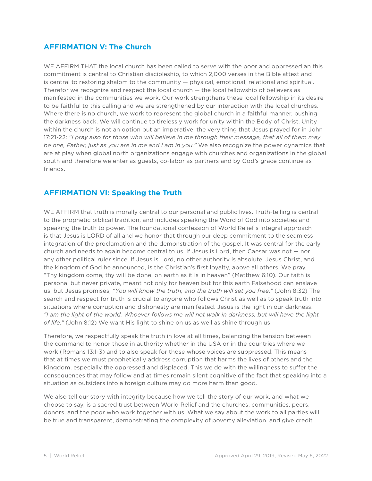## <span id="page-6-0"></span>**AFFIRMATION V: The Church**

WE AFFIRM THAT the local church has been called to serve with the poor and oppressed an this commitment is central to Christian discipleship, to which 2,000 verses in the Bible attest and is central to restoring shalom to the community — physical, emotional, relational and spiritual. Therefor we recognize and respect the local church — the local fellowship of believers as manifested in the communities we work. Our work strengthens these local fellowship in its desire to be faithful to this calling and we are strengthened by our interaction with the local churches. Where there is no church, we work to represent the global church in a faithful manner, pushing the darkness back. We will continue to tirelessly work for unity within the Body of Christ. Unity within the church is not an option but an imperative, the very thing that Jesus prayed for in John 17:21-22: *"I pray also for those who will believe in me through their message, that all of them may be one, Father, just as you are in me and I am in you."* We also recognize the power dynamics that are at play when global north organizations engage with churches and organizations in the global south and therefore we enter as guests, co-labor as partners and by God's grace continue as friends.

## <span id="page-6-1"></span>**AFFIRMATION VI: Speaking the Truth**

WE AFFIRM that truth is morally central to our personal and public lives. Truth-telling is central to the prophetic biblical tradition, and includes speaking the Word of God into societies and speaking the truth to power. The foundational confession of World Relief's Integral approach is that Jesus is LORD of all and we honor that through our deep commitment to the seamless integration of the proclamation and the demonstration of the gospel. It was central for the early church and needs to again become central to us. If Jesus is Lord, then Caesar was not — nor any other political ruler since. If Jesus is Lord, no other authority is absolute. Jesus Christ, and the kingdom of God he announced, is the Christian's first loyalty, above all others. We pray, "Thy kingdom come, thy will be done, on earth as it is in heaven" (Matthew 6:10). Our faith is personal but never private, meant not only for heaven but for this earth Falsehood can enslave us, but Jesus promises, *"You will know the truth, and the truth will set you free."* (John 8:32) The search and respect for truth is crucial to anyone who follows Christ as well as to speak truth into situations where corruption and dishonesty are manifested. Jesus is the light in our darkness. *"I am the light of the world. Whoever follows me will not walk in darkness, but will have the light of life."* (John 8:12) We want His light to shine on us as well as shine through us.

Therefore, we respectfully speak the truth in love at all times, balancing the tension between the command to honor those in authority whether in the USA or in the countries where we work (Romans 13:1-3) and to also speak for those whose voices are suppressed. This means that at times we must prophetically address corruption that harms the lives of others and the Kingdom, especially the oppressed and displaced. This we do with the willingness to suffer the consequences that may follow and at times remain silent cognitive of the fact that speaking into a situation as outsiders into a foreign culture may do more harm than good.

We also tell our story with integrity because how we tell the story of our work, and what we choose to say, is a sacred trust between World Relief and the churches, communities, peers, donors, and the poor who work together with us. What we say about the work to all parties will be true and transparent, demonstrating the complexity of poverty alleviation, and give credit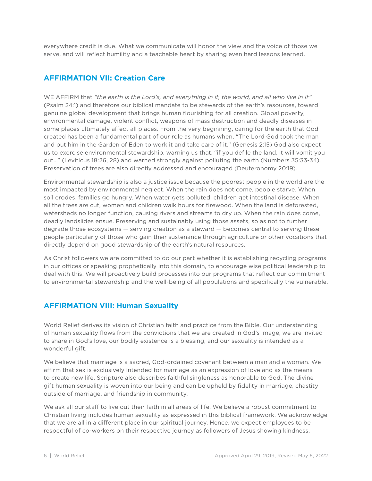everywhere credit is due. What we communicate will honor the view and the voice of those we serve, and will reflect humility and a teachable heart by sharing even hard lessons learned.

### <span id="page-7-0"></span>**AFFIRMATION VII: Creation Care**

WE AFFIRM that *"the earth is the Lord's, and everything in it, the world, and all who live in it"* (Psalm 24:1) and therefore our biblical mandate to be stewards of the earth's resources, toward genuine global development that brings human flourishing for all creation. Global poverty, environmental damage, violent conflict, weapons of mass destruction and deadly diseases in some places ultimately affect all places. From the very beginning, caring for the earth that God created has been a fundamental part of our role as humans when, "The Lord God took the man and put him in the Garden of Eden to work it and take care of it." (Genesis 2:15) God also expect us to exercise environmental stewardship, warning us that, "if you defile the land, it will vomit you out…" (Leviticus 18:26, 28) and warned strongly against polluting the earth (Numbers 35:33-34). Preservation of trees are also directly addressed and encouraged (Deuteronomy 20:19).

Environmental stewardship is also a justice issue because the poorest people in the world are the most impacted by environmental neglect. When the rain does not come, people starve. When soil erodes, families go hungry. When water gets polluted, children get intestinal disease. When all the trees are cut, women and children walk hours for firewood. When the land is deforested, watersheds no longer function, causing rivers and streams to dry up. When the rain does come, deadly landslides ensue. Preserving and sustainably using those assets, so as not to further degrade those ecosystems — serving creation as a steward — becomes central to serving these people particularly of those who gain their sustenance through agriculture or other vocations that directly depend on good stewardship of the earth's natural resources.

As Christ followers we are committed to do our part whether it is establishing recycling programs in our offices or speaking prophetically into this domain, to encourage wise political leadership to deal with this. We will proactively build processes into our programs that reflect our commitment to environmental stewardship and the well-being of all populations and specifically the vulnerable.

## <span id="page-7-1"></span>**AFFIRMATION VIII: Human Sexuality**

World Relief derives its vision of Christian faith and practice from the Bible. Our understanding of human sexuality flows from the convictions that we are created in God's image, we are invited to share in God's love, our bodily existence is a blessing, and our sexuality is intended as a wonderful gift.

We believe that marriage is a sacred, God-ordained covenant between a man and a woman. We affirm that sex is exclusively intended for marriage as an expression of love and as the means to create new life. Scripture also describes faithful singleness as honorable to God. The divine gift human sexuality is woven into our being and can be upheld by fidelity in marriage, chastity outside of marriage, and friendship in community.

We ask all our staff to live out their faith in all areas of life. We believe a robust commitment to Christian living includes human sexuality as expressed in this biblical framework. We acknowledge that we are all in a different place in our spiritual journey. Hence, we expect employees to be respectful of co-workers on their respective journey as followers of Jesus showing kindness,